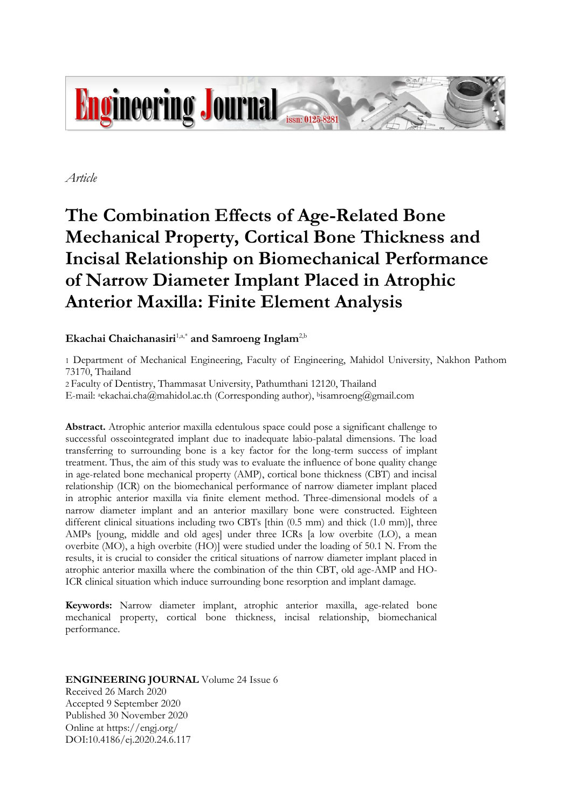

*Article*

# **The Combination Effects of Age-Related Bone Mechanical Property, Cortical Bone Thickness and Incisal Relationship on Biomechanical Performance of Narrow Diameter Implant Placed in Atrophic Anterior Maxilla: Finite Element Analysis**

# Ekachai Chaichanasiri<sup>1,a,\*</sup> and Samroeng Inglam<sup>2,b</sup>

1 Department of Mechanical Engineering, Faculty of Engineering, Mahidol University, Nakhon Pathom 73170, Thailand

2 Faculty of Dentistry, Thammasat University, Pathumthani 12120, Thailand

E-mail: aekachai.cha@mahidol.ac.th (Corresponding author), <sup>b</sup>isamroeng@gmail.com

**Abstract.** Atrophic anterior maxilla edentulous space could pose a significant challenge to successful osseointegrated implant due to inadequate labio-palatal dimensions. The load transferring to surrounding bone is a key factor for the long-term success of implant treatment. Thus, the aim of this study was to evaluate the influence of bone quality change in age-related bone mechanical property (AMP), cortical bone thickness (CBT) and incisal relationship (ICR) on the biomechanical performance of narrow diameter implant placed in atrophic anterior maxilla via finite element method. Three-dimensional models of a narrow diameter implant and an anterior maxillary bone were constructed. Eighteen different clinical situations including two CBTs [thin (0.5 mm) and thick (1.0 mm)], three AMPs [young, middle and old ages] under three ICRs [a low overbite (LO), a mean overbite (MO), a high overbite (HO)] were studied under the loading of 50.1 N. From the results, it is crucial to consider the critical situations of narrow diameter implant placed in atrophic anterior maxilla where the combination of the thin CBT, old age-AMP and HO-ICR clinical situation which induce surrounding bone resorption and implant damage.

**Keywords:** Narrow diameter implant, atrophic anterior maxilla, age-related bone mechanical property, cortical bone thickness, incisal relationship, biomechanical performance.

**ENGINEERING JOURNAL** Volume 24 Issue 6 Received 26 March 2020 Accepted 9 September 2020 Published 30 November 2020 Online at https://engj.org/ DOI:10.4186/ej.2020.24.6.117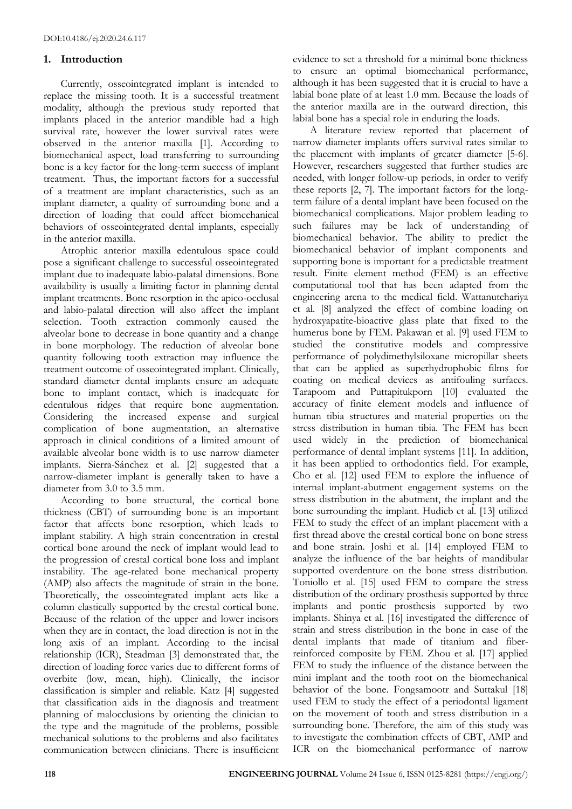## **1. Introduction**

Currently, osseointegrated implant is intended to replace the missing tooth. It is a successful treatment modality, although the previous study reported that implants placed in the anterior mandible had a high survival rate, however the lower survival rates were observed in the anterior maxilla [1]. According to biomechanical aspect, load transferring to surrounding bone is a key factor for the long-term success of implant treatment. Thus, the important factors for a successful of a treatment are implant characteristics, such as an implant diameter, a quality of surrounding bone and a direction of loading that could affect biomechanical behaviors of osseointegrated dental implants, especially in the anterior maxilla.

Atrophic anterior maxilla edentulous space could pose a significant challenge to successful osseointegrated implant due to inadequate labio-palatal dimensions. Bone availability is usually a limiting factor in planning dental implant treatments. Bone resorption in the apico-occlusal and labio-palatal direction will also affect the implant selection. Tooth extraction commonly caused the alveolar bone to decrease in bone quantity and a change in bone morphology. The reduction of alveolar bone quantity following tooth extraction may influence the treatment outcome of osseointegrated implant. Clinically, standard diameter dental implants ensure an adequate bone to implant contact, which is inadequate for edentulous ridges that require bone augmentation. Considering the increased expense and surgical complication of bone augmentation, an alternative approach in clinical conditions of a limited amount of available alveolar bone width is to use narrow diameter implants. Sierra-Sánchez et al. [2] suggested that a narrow-diameter implant is generally taken to have a diameter from 3.0 to 3.5 mm.

According to bone structural, the cortical bone thickness (CBT) of surrounding bone is an important factor that affects bone resorption, which leads to implant stability. A high strain concentration in crestal cortical bone around the neck of implant would lead to the progression of crestal cortical bone loss and implant instability. The age-related bone mechanical property (AMP) also affects the magnitude of strain in the bone. Theoretically, the osseointegrated implant acts like a column elastically supported by the crestal cortical bone. Because of the relation of the upper and lower incisors when they are in contact, the load direction is not in the long axis of an implant. According to the incisal relationship (ICR), Steadman [3] demonstrated that, the direction of loading force varies due to different forms of overbite (low, mean, high). Clinically, the incisor classification is simpler and reliable. Katz [4] suggested that classification aids in the diagnosis and treatment planning of malocclusions by orienting the clinician to the type and the magnitude of the problems, possible mechanical solutions to the problems and also facilitates communication between clinicians. There is insufficient

evidence to set a threshold for a minimal bone thickness to ensure an optimal biomechanical performance, although it has been suggested that it is crucial to have a labial bone plate of at least 1.0 mm. Because the loads of the anterior maxilla are in the outward direction, this labial bone has a special role in enduring the loads.

A literature review reported that placement of narrow diameter implants offers survival rates similar to the placement with implants of greater diameter [5-6]. However, researchers suggested that further studies are needed, with longer follow-up periods, in order to verify these reports [2, 7]. The important factors for the longterm failure of a dental implant have been focused on the biomechanical complications. Major problem leading to such failures may be lack of understanding of biomechanical behavior. The ability to predict the biomechanical behavior of implant components and supporting bone is important for a predictable treatment result. Finite element method (FEM) is an effective computational tool that has been adapted from the engineering arena to the medical field. Wattanutchariya et al. [8] analyzed the effect of combine loading on hydroxyapatite-bioactive glass plate that fixed to the humerus bone by FEM. Pakawan et al. [9] used FEM to studied the constitutive models and compressive performance of polydimethylsiloxane micropillar sheets that can be applied as superhydrophobic films for coating on medical devices as antifouling surfaces. Tarapoom and Puttapitukporn [10] evaluated the accuracy of finite element models and influence of human tibia structures and material properties on the stress distribution in human tibia. The FEM has been used widely in the prediction of biomechanical performance of dental implant systems [11]. In addition, it has been applied to orthodontics field. For example, Cho et al. [12] used FEM to explore the influence of internal implant-abutment engagement systems on the stress distribution in the abutment, the implant and the bone surrounding the implant. Hudieb et al. [13] utilized FEM to study the effect of an implant placement with a first thread above the crestal cortical bone on bone stress and bone strain. Joshi et al. [14] employed FEM to analyze the influence of the bar heights of mandibular supported overdenture on the bone stress distribution. Toniollo et al. [15] used FEM to compare the stress distribution of the ordinary prosthesis supported by three implants and pontic prosthesis supported by two implants. Shinya et al. [16] investigated the difference of strain and stress distribution in the bone in case of the dental implants that made of titanium and fiberreinforced composite by FEM. Zhou et al. [17] applied FEM to study the influence of the distance between the mini implant and the tooth root on the biomechanical behavior of the bone. Fongsamootr and Suttakul [18] used FEM to study the effect of a periodontal ligament on the movement of tooth and stress distribution in a surrounding bone. Therefore, the aim of this study was to investigate the combination effects of CBT, AMP and ICR on the biomechanical performance of narrow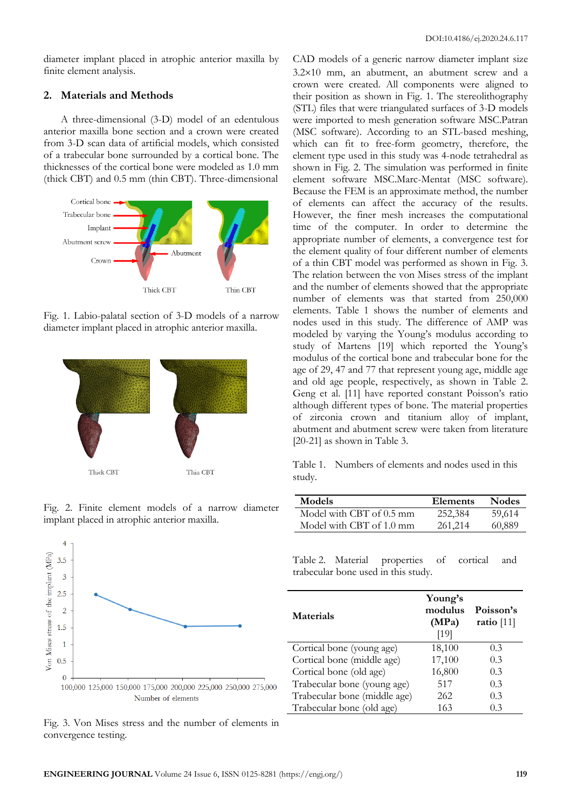diameter implant placed in atrophic anterior maxilla by finite element analysis.

#### **2. Materials and Methods**

A three-dimensional (3-D) model of an edentulous anterior maxilla bone section and a crown were created from 3-D scan data of artificial models, which consisted of a trabecular bone surrounded by a cortical bone. The thicknesses of the cortical bone were modeled as 1.0 mm (thick CBT) and 0.5 mm (thin CBT). Three-dimensional



Fig. 1. Labio-palatal section of 3-D models of a narrow diameter implant placed in atrophic anterior maxilla.







Fig. 3. Von Mises stress and the number of elements in convergence testing.

CAD models of a generic narrow diameter implant size  $3.2\times10$  mm, an abutment, an abutment screw and a crown were created. All components were aligned to their position as shown in Fig. 1. The stereolithography (STL) files that were triangulated surfaces of 3-D models were imported to mesh generation software MSC.Patran (MSC software). According to an STL-based meshing, which can fit to free-form geometry, therefore, the element type used in this study was 4-node tetrahedral as shown in Fig. 2. The simulation was performed in finite element software MSC.Marc-Mentat (MSC software). Because the FEM is an approximate method, the number of elements can affect the accuracy of the results. However, the finer mesh increases the computational time of the computer. In order to determine the appropriate number of elements, a convergence test for the element quality of four different number of elements of a thin CBT model was performed as shown in Fig. 3. The relation between the von Mises stress of the implant and the number of elements showed that the appropriate number of elements was that started from 250,000 elements. Table 1 shows the number of elements and nodes used in this study. The difference of AMP was modeled by varying the Young's modulus according to study of Martens [19] which reported the Young's modulus of the cortical bone and trabecular bone for the age of 29, 47 and 77 that represent young age, middle age and old age people, respectively, as shown in Table 2. Geng et al. [11] have reported constant Poisson's ratio although different types of bone. The material properties of zirconia crown and titanium alloy of implant, abutment and abutment screw were taken from literature [20-21] as shown in Table 3.

Table 1. Numbers of elements and nodes used in this study.

| <b>Models</b>            | Elements | <b>Nodes</b> |
|--------------------------|----------|--------------|
| Model with CBT of 0.5 mm | 252,384  | 59,614       |
| Model with CBT of 1.0 mm | 261,214  | 60,889       |

Table 2. Material properties of cortical and trabecular bone used in this study.

| <b>Materials</b>             | Young's<br>modulus<br>(MPa)<br>[19] | Poisson's<br>ratio $[11]$ |
|------------------------------|-------------------------------------|---------------------------|
| Cortical bone (young age)    | 18,100                              | 0.3                       |
| Cortical bone (middle age)   | 17,100                              | 0.3                       |
| Cortical bone (old age)      | 16,800                              | 0.3                       |
| Trabecular bone (young age)  | 517                                 | 0.3                       |
| Trabecular bone (middle age) | 262                                 | 0.3                       |
| Trabecular bone (old age)    | 163                                 | 0.3                       |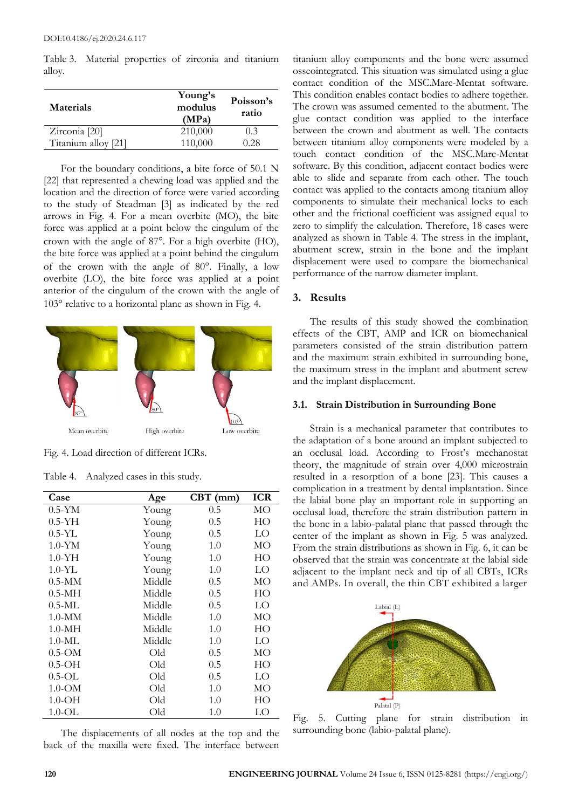Table 3. Material properties of zirconia and titanium alloy.

| <b>Materials</b>    | Young's<br>modulus<br>(MPa) | Poisson's<br>ratio |
|---------------------|-----------------------------|--------------------|
| Zirconia [20]       | 210,000                     | 0.3                |
| Titanium alloy [21] | 110,000                     | 0.28               |

For the boundary conditions, a bite force of 50.1 N [22] that represented a chewing load was applied and the location and the direction of force were varied according to the study of Steadman [3] as indicated by the red arrows in Fig. 4. For a mean overbite (MO), the bite force was applied at a point below the cingulum of the crown with the angle of 87°. For a high overbite (HO), the bite force was applied at a point behind the cingulum of the crown with the angle of  $80^\circ$ . Finally, a low overbite (LO), the bite force was applied at a point anterior of the cingulum of the crown with the angle of 103° relative to a horizontal plane as shown in Fig. 4.



Fig. 4. Load direction of different ICRs.

| Case                     | Age    | $CBT$ (mm) | <b>ICR</b> |
|--------------------------|--------|------------|------------|
| $0.5-YM$                 | Young  | 0.5        | МO         |
| $0.5-YH$                 | Young  | 0.5        | HО         |
| $0.5-YL$                 | Young  | 0.5        | LO         |
| $1.0 - YM$               | Young  | 1.0        | MО         |
| $1.0 - YH$               | Young  | 1.0        | HO         |
| $1.0 - YL$               | Young  | 1.0        | LO         |
| $0.5-MM$                 | Middle | 0.5        | MО         |
| $0.5-MH$                 | Middle | 0.5        | HO         |
| $0.5-ML$                 | Middle | 0.5        | LO         |
| $1.0-MM$                 | Middle | 1.0        | MО         |
| $1.0-MH$                 | Middle | 1.0        | HО         |
| $1.0\text{-}\mathrm{ML}$ | Middle | 1.0        | LО         |
| $0.5$ -OM                | Old    | 0.5        | MО         |
| $0.5$ -OH                | Old    | 0.5        | HО         |
| $0.5$ -OL                | Old    | 0.5        | LО         |
| $1.0\text{-OM}$          | Old    | 1.0        | MO         |
| $1.0 - OH$               | Old    | 1.0        | HО         |
| 1.0-OL                   | Old    | 1.0        | LО         |

Table 4. Analyzed cases in this study.

The displacements of all nodes at the top and the back of the maxilla were fixed. The interface between

titanium alloy components and the bone were assumed osseointegrated. This situation was simulated using a glue contact condition of the MSC.Marc-Mentat software. This condition enables contact bodies to adhere together. The crown was assumed cemented to the abutment. The glue contact condition was applied to the interface between the crown and abutment as well. The contacts between titanium alloy components were modeled by a touch contact condition of the MSC.Marc-Mentat software. By this condition, adjacent contact bodies were able to slide and separate from each other. The touch contact was applied to the contacts among titanium alloy components to simulate their mechanical locks to each other and the frictional coefficient was assigned equal to zero to simplify the calculation. Therefore, 18 cases were analyzed as shown in Table 4. The stress in the implant, abutment screw, strain in the bone and the implant displacement were used to compare the biomechanical performance of the narrow diameter implant.

### **3. Results**

The results of this study showed the combination effects of the CBT, AMP and ICR on biomechanical parameters consisted of the strain distribution pattern and the maximum strain exhibited in surrounding bone, the maximum stress in the implant and abutment screw and the implant displacement.

#### **3.1. Strain Distribution in Surrounding Bone**

Strain is a mechanical parameter that contributes to the adaptation of a bone around an implant subjected to an occlusal load. According to Frost's mechanostat theory, the magnitude of strain over 4,000 microstrain resulted in a resorption of a bone [23]. This causes a complication in a treatment by dental implantation. Since the labial bone play an important role in supporting an occlusal load, therefore the strain distribution pattern in the bone in a labio-palatal plane that passed through the center of the implant as shown in Fig. 5 was analyzed. From the strain distributions as shown in Fig. 6, it can be observed that the strain was concentrate at the labial side adjacent to the implant neck and tip of all CBTs, ICRs and AMPs. In overall, the thin CBT exhibited a larger



Fig. 5. Cutting plane for strain distribution in surrounding bone (labio-palatal plane).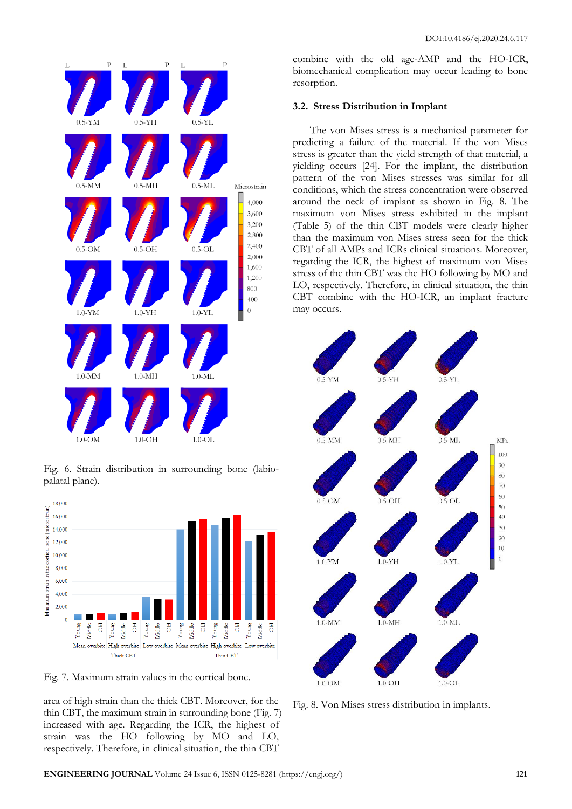





Fig. 7. Maximum strain values in the cortical bone.

area of high strain than the thick CBT. Moreover, for the thin CBT, the maximum strain in surrounding bone (Fig. 7) increased with age. Regarding the ICR, the highest of strain was the HO following by MO and LO, respectively. Therefore, in clinical situation, the thin CBT

combine with the old age-AMP and the HO-ICR, biomechanical complication may occur leading to bone resorption.

#### **3.2. Stress Distribution in Implant**

The von Mises stress is a mechanical parameter for predicting a failure of the material. If the von Mises stress is greater than the yield strength of that material, a yielding occurs [24]. For the implant, the distribution pattern of the von Mises stresses was similar for all conditions, which the stress concentration were observed around the neck of implant as shown in Fig. 8. The maximum von Mises stress exhibited in the implant (Table 5) of the thin CBT models were clearly higher than the maximum von Mises stress seen for the thick CBT of all AMPs and ICRs clinical situations. Moreover, regarding the ICR, the highest of maximum von Mises stress of the thin CBT was the HO following by MO and LO, respectively. Therefore, in clinical situation, the thin CBT combine with the HO-ICR, an implant fracture may occurs.



Fig. 8. Von Mises stress distribution in implants.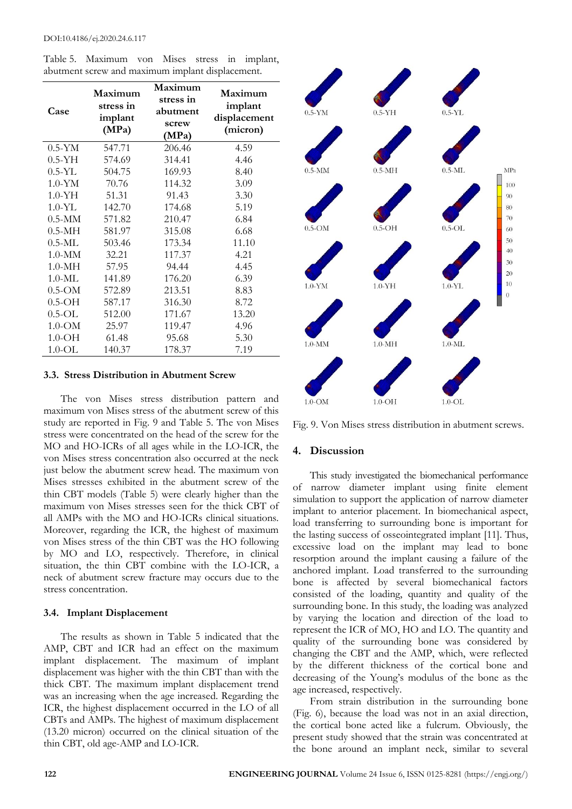Table 5. Maximum von Mises stress in implant, abutment screw and maximum implant displacement.

| Case            | Maximum<br>stress in<br>implant<br>(MPa) | Maximum<br>stress in<br>abutment<br>screw<br>(MPa) | Maximum<br>implant<br>displacement<br>(micron) |
|-----------------|------------------------------------------|----------------------------------------------------|------------------------------------------------|
| $0.5-YM$        | 547.71                                   | 206.46                                             | 4.59                                           |
| $0.5-YH$        | 574.69                                   | 314.41                                             | 4.46                                           |
| $0.5-YL$        | 504.75                                   | 169.93                                             | 8.40                                           |
| $1.0 - YM$      | 70.76                                    | 114.32                                             | 3.09                                           |
| $1.0 - YH$      | 51.31                                    | 91.43                                              | 3.30                                           |
| $1.0 - YL$      | 142.70                                   | 174.68                                             | 5.19                                           |
| $0.5-MM$        | 571.82                                   | 210.47                                             | 6.84                                           |
| $0.5-MH$        | 581.97                                   | 315.08                                             | 6.68                                           |
| $0.5$ -ML       | 503.46                                   | 173.34                                             | 11.10                                          |
| $1.0-MM$        | 32.21                                    | 117.37                                             | 4.21                                           |
| $1.0-MH$        | 57.95                                    | 94.44                                              | 4.45                                           |
| $1.0-ML$        | 141.89                                   | 176.20                                             | 6.39                                           |
| $0.5$ -OM       | 572.89                                   | 213.51                                             | 8.83                                           |
| $0.5$ -OH       | 587.17                                   | 316.30                                             | 8.72                                           |
| $0.5$ -OL       | 512.00                                   | 171.67                                             | 13.20                                          |
| $1.0\text{-}OM$ | 25.97                                    | 119.47                                             | 4.96                                           |
| $1.0 - OH$      | 61.48                                    | 95.68                                              | 5.30                                           |
| $1.0\text{-OL}$ | 140.37                                   | 178.37                                             | 7.19                                           |

#### **3.3. Stress Distribution in Abutment Screw**

The von Mises stress distribution pattern and maximum von Mises stress of the abutment screw of this study are reported in Fig. 9 and Table 5. The von Mises stress were concentrated on the head of the screw for the MO and HO-ICRs of all ages while in the LO-ICR, the von Mises stress concentration also occurred at the neck just below the abutment screw head. The maximum von Mises stresses exhibited in the abutment screw of the thin CBT models (Table 5) were clearly higher than the maximum von Mises stresses seen for the thick CBT of all AMPs with the MO and HO-ICRs clinical situations. Moreover, regarding the ICR, the highest of maximum von Mises stress of the thin CBT was the HO following by MO and LO, respectively. Therefore, in clinical situation, the thin CBT combine with the LO-ICR, a neck of abutment screw fracture may occurs due to the stress concentration.

# **3.4. Implant Displacement**

The results as shown in Table 5 indicated that the AMP, CBT and ICR had an effect on the maximum implant displacement. The maximum of implant displacement was higher with the thin CBT than with the thick CBT. The maximum implant displacement trend was an increasing when the age increased. Regarding the ICR, the highest displacement occurred in the LO of all CBTs and AMPs. The highest of maximum displacement (13.20 micron) occurred on the clinical situation of the thin CBT, old age-AMP and LO-ICR.



Fig. 9. Von Mises stress distribution in abutment screws.

# **4. Discussion**

This study investigated the biomechanical performance of narrow diameter implant using finite element simulation to support the application of narrow diameter implant to anterior placement. In biomechanical aspect, load transferring to surrounding bone is important for the lasting success of osseointegrated implant [11]. Thus, excessive load on the implant may lead to bone resorption around the implant causing a failure of the anchored implant. Load transferred to the surrounding bone is affected by several biomechanical factors consisted of the loading, quantity and quality of the surrounding bone. In this study, the loading was analyzed by varying the location and direction of the load to represent the ICR of MO, HO and LO. The quantity and quality of the surrounding bone was considered by changing the CBT and the AMP, which, were reflected by the different thickness of the cortical bone and decreasing of the Young's modulus of the bone as the age increased, respectively.

From strain distribution in the surrounding bone (Fig. 6), because the load was not in an axial direction, the cortical bone acted like a fulcrum. Obviously, the present study showed that the strain was concentrated at the bone around an implant neck, similar to several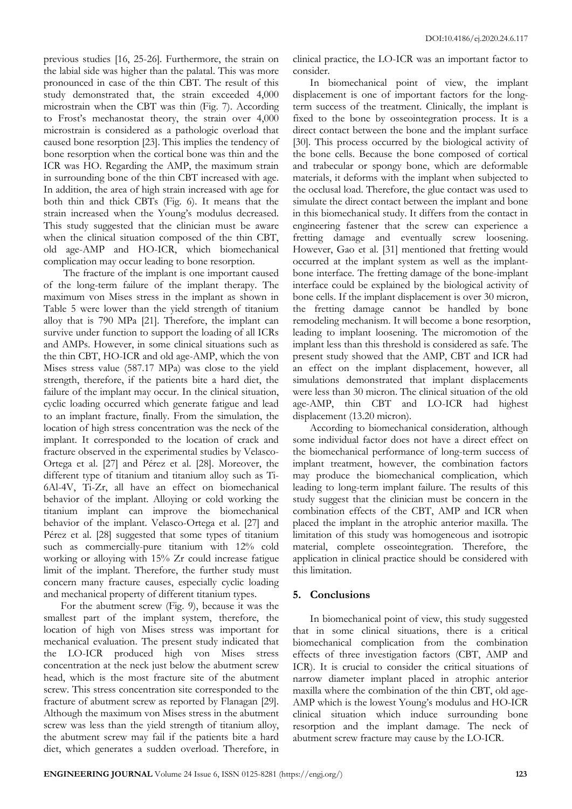previous studies [16, 25-26]. Furthermore, the strain on the labial side was higher than the palatal. This was more pronounced in case of the thin CBT. The result of this study demonstrated that, the strain exceeded 4,000 microstrain when the CBT was thin (Fig. 7). According to Frost's mechanostat theory, the strain over 4,000 microstrain is considered as a pathologic overload that caused bone resorption [23]. This implies the tendency of bone resorption when the cortical bone was thin and the ICR was HO. Regarding the AMP, the maximum strain in surrounding bone of the thin CBT increased with age. In addition, the area of high strain increased with age for both thin and thick CBTs (Fig. 6). It means that the strain increased when the Young's modulus decreased. This study suggested that the clinician must be aware when the clinical situation composed of the thin CBT, old age-AMP and HO-ICR, which biomechanical complication may occur leading to bone resorption.

The fracture of the implant is one important caused of the long-term failure of the implant therapy. The maximum von Mises stress in the implant as shown in Table 5 were lower than the yield strength of titanium alloy that is 790 MPa [21]. Therefore, the implant can survive under function to support the loading of all ICRs and AMPs. However, in some clinical situations such as the thin CBT, HO-ICR and old age-AMP, which the von Mises stress value (587.17 MPa) was close to the yield strength, therefore, if the patients bite a hard diet, the failure of the implant may occur. In the clinical situation, cyclic loading occurred which generate fatigue and lead to an implant fracture, finally. From the simulation, the location of high stress concentration was the neck of the implant. It corresponded to the location of crack and fracture observed in the experimental studies by Velasco-Ortega et al. [27] and Pérez et al. [28]. Moreover, the different type of titanium and titanium alloy such as Ti-6Al-4V, Ti-Zr, all have an effect on biomechanical behavior of the implant. Alloying or cold working the titanium implant can improve the biomechanical behavior of the implant. Velasco-Ortega et al. [27] and Pérez et al. [28] suggested that some types of titanium such as commercially-pure titanium with 12% cold working or alloying with 15% Zr could increase fatigue limit of the implant. Therefore, the further study must concern many fracture causes, especially cyclic loading and mechanical property of different titanium types.

For the abutment screw (Fig. 9), because it was the smallest part of the implant system, therefore, the location of high von Mises stress was important for mechanical evaluation. The present study indicated that the LO-ICR produced high von Mises stress concentration at the neck just below the abutment screw head, which is the most fracture site of the abutment screw. This stress concentration site corresponded to the fracture of abutment screw as reported by Flanagan [29]. Although the maximum von Mises stress in the abutment screw was less than the yield strength of titanium alloy, the abutment screw may fail if the patients bite a hard diet, which generates a sudden overload. Therefore, in

clinical practice, the LO-ICR was an important factor to consider.

In biomechanical point of view, the implant displacement is one of important factors for the longterm success of the treatment. Clinically, the implant is fixed to the bone by osseointegration process. It is a direct contact between the bone and the implant surface [30]. This process occurred by the biological activity of the bone cells. Because the bone composed of cortical and trabecular or spongy bone, which are deformable materials, it deforms with the implant when subjected to the occlusal load. Therefore, the glue contact was used to simulate the direct contact between the implant and bone in this biomechanical study. It differs from the contact in engineering fastener that the screw can experience a fretting damage and eventually screw loosening. However, Gao et al. [31] mentioned that fretting would occurred at the implant system as well as the implantbone interface. The fretting damage of the bone-implant interface could be explained by the biological activity of bone cells. If the implant displacement is over 30 micron, the fretting damage cannot be handled by bone remodeling mechanism. It will become a bone resorption, leading to implant loosening. The micromotion of the implant less than this threshold is considered as safe. The present study showed that the AMP, CBT and ICR had an effect on the implant displacement, however, all simulations demonstrated that implant displacements were less than 30 micron. The clinical situation of the old age-AMP, thin CBT and LO-ICR had highest displacement (13.20 micron).

According to biomechanical consideration, although some individual factor does not have a direct effect on the biomechanical performance of long-term success of implant treatment, however, the combination factors may produce the biomechanical complication, which leading to long-term implant failure. The results of this study suggest that the clinician must be concern in the combination effects of the CBT, AMP and ICR when placed the implant in the atrophic anterior maxilla. The limitation of this study was homogeneous and isotropic material, complete osseointegration. Therefore, the application in clinical practice should be considered with this limitation.

#### **5. Conclusions**

In biomechanical point of view, this study suggested that in some clinical situations, there is a critical biomechanical complication from the combination effects of three investigation factors (CBT, AMP and ICR). It is crucial to consider the critical situations of narrow diameter implant placed in atrophic anterior maxilla where the combination of the thin CBT, old age-AMP which is the lowest Young's modulus and HO-ICR clinical situation which induce surrounding bone resorption and the implant damage. The neck of abutment screw fracture may cause by the LO-ICR.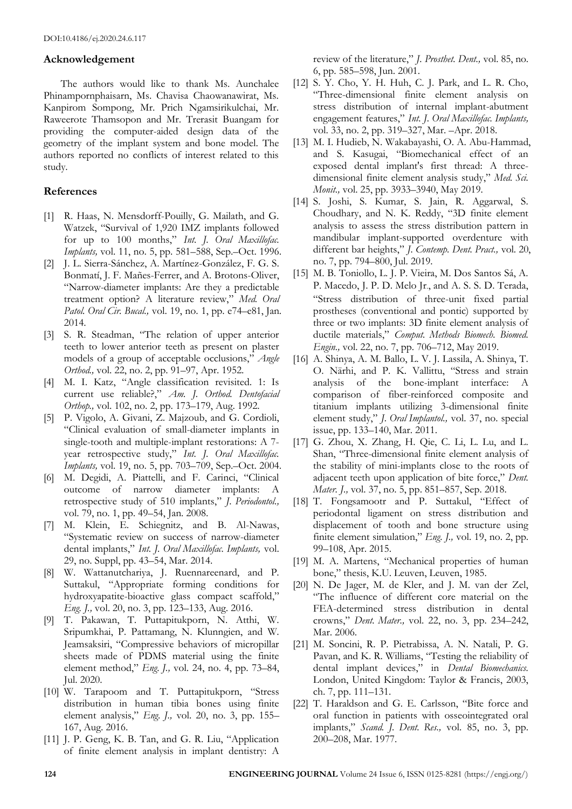#### **Acknowledgement**

The authors would like to thank Ms. Aunchalee Phinampornphaisarn, Ms. Chavisa Chaowanawirat, Ms. Kanpirom Sompong, Mr. Prich Ngamsirikulchai, Mr. Raweerote Thamsopon and Mr. Trerasit Buangam for providing the computer-aided design data of the geometry of the implant system and bone model. The authors reported no conflicts of interest related to this study.

#### **References**

- [1] R. Haas, N. Mensdorff-Pouilly, G. Mailath, and G. Watzek, "Survival of 1,920 IMZ implants followed for up to 100 months," *Int. J. Oral Maxillofac. Implants,* vol. 11, no. 5, pp. 581–588, Sep.–Oct. 1996.
- [2] J. L. Sierra-Sánchez, A. Martínez-González, F. G. S. Bonmatí, J. F. Mañes-Ferrer, and A. Brotons-Oliver, "Narrow-diameter implants: Are they a predictable treatment option? A literature review," *Med. Oral Patol. Oral Cir. Bucal.,* vol. 19, no. 1, pp. e74–e81, Jan. 2014.
- [3] S. R. Steadman, "The relation of upper anterior teeth to lower anterior teeth as present on plaster models of a group of acceptable occlusions," *Angle Orthod.,* vol. 22, no. 2, pp. 91–97, Apr. 1952.
- [4] M. I. Katz, "Angle classification revisited. 1: Is current use reliable?," *Am. J. Orthod. Dentofacial Orthop.,* vol. 102, no. 2, pp. 173–179, Aug. 1992.
- [5] P. Vigolo, A. Givani, Z. Majzoub, and G. Cordioli, "Clinical evaluation of small-diameter implants in single-tooth and multiple-implant restorations: A 7 year retrospective study," *Int. J. Oral Maxillofac. Implants,* vol. 19, no. 5, pp. 703–709, Sep.–Oct. 2004.
- [6] M. Degidi, A. Piattelli, and F. Carinci, "Clinical outcome of narrow diameter implants: A retrospective study of 510 implants," *J. Periodontol.,* vol. 79, no. 1, pp. 49–54, Jan. 2008.
- [7] M. Klein, E. Schiegnitz, and B. Al-Nawas, "Systematic review on success of narrow-diameter dental implants," *Int. J. Oral Maxillofac. Implants,* vol. 29, no. Suppl, pp. 43–54, Mar. 2014.
- [8] W. Wattanutchariya, J. Ruennareenard, and P. Suttakul, "Appropriate forming conditions for hydroxyapatite-bioactive glass compact scaffold," *Eng. J.,* vol. 20, no. 3, pp. 123–133, Aug. 2016.
- [9] T. Pakawan, T. Puttapitukporn, N. Atthi, W. Sripumkhai, P. Pattamang, N. Klunngien, and W. Jeamsaksiri, "Compressive behaviors of micropillar sheets made of PDMS material using the finite element method," *Eng. J.,* vol. 24, no. 4, pp. 73–84, Jul. 2020.
- [10] W. Tarapoom and T. Puttapitukporn, "Stress distribution in human tibia bones using finite element analysis," *Eng. J.,* vol. 20, no. 3, pp. 155– 167, Aug. 2016.
- [11] J. P. Geng, K. B. Tan, and G. R. Liu, "Application of finite element analysis in implant dentistry: A

review of the literature," *J. Prosthet. Dent.,* vol. 85, no. 6, pp. 585–598, Jun. 2001.

- [12] S. Y. Cho, Y. H. Huh, C. J. Park, and L. R. Cho, "Three-dimensional finite element analysis on stress distribution of internal implant-abutment engagement features," *Int. J. Oral Maxillofac. Implants,* vol. 33, no. 2, pp. 319–327, Mar. –Apr. 2018.
- [13] M. I. Hudieb, N. Wakabayashi, O. A. Abu-Hammad, and S. Kasugai, "Biomechanical effect of an exposed dental implant's first thread: A threedimensional finite element analysis study," *Med. Sci. Monit.,* vol. 25, pp. 3933–3940, May 2019.
- [14] S. Joshi, S. Kumar, S. Jain, R. Aggarwal, S. Choudhary, and N. K. Reddy, "3D finite element analysis to assess the stress distribution pattern in mandibular implant-supported overdenture with different bar heights," *J. Contemp. Dent. Pract.,* vol. 20, no. 7, pp. 794–800, Jul. 2019.
- [15] M. B. Toniollo, L. J. P. Vieira, M. Dos Santos Sá, A. P. Macedo, J. P. D. Melo Jr., and A. S. S. D. Terada, "Stress distribution of three-unit fixed partial prostheses (conventional and pontic) supported by three or two implants: 3D finite element analysis of ductile materials," *Comput. Methods Biomech. Biomed. Engin.,* vol. 22, no. 7, pp. 706–712, May 2019.
- [16] A. Shinya, A. M. Ballo, L. V. J. Lassila, A. Shinya, T. O. Närhi, and P. K. Vallittu, "Stress and strain analysis of the bone-implant interface: A comparison of fiber-reinforced composite and titanium implants utilizing 3-dimensional finite element study," *J. Oral Implantol.,* vol. 37, no. special issue, pp. 133–140, Mar. 2011.
- [17] G. Zhou, X. Zhang, H. Qie, C. Li, L. Lu, and L. Shan, "Three-dimensional finite element analysis of the stability of mini-implants close to the roots of adjacent teeth upon application of bite force," *Dent. Mater. J.,* vol. 37, no. 5, pp. 851–857, Sep. 2018.
- [18] T. Fongsamootr and P. Suttakul, "Effect of periodontal ligament on stress distribution and displacement of tooth and bone structure using finite element simulation," *Eng. J.,* vol. 19, no. 2, pp. 99–108, Apr. 2015.
- [19] M. A. Martens, "Mechanical properties of human bone," thesis, K.U. Leuven, Leuven, 1985.
- [20] N. De Jager, M. de Kler, and J. M. van der Zel, "The influence of different core material on the FEA-determined stress distribution in dental crowns," *Dent. Mater.,* vol. 22, no. 3, pp. 234–242, Mar. 2006.
- [21] M. Soncini, R. P. Pietrabissa, A. N. Natali, P. G. Pavan, and K. R. Williams, "Testing the reliability of dental implant devices," in *Dental Biomechanics.*  London, United Kingdom: Taylor & Francis, 2003, ch. 7, pp. 111–131.
- [22] T. Haraldson and G. E. Carlsson, "Bite force and oral function in patients with osseointegrated oral implants," *Scand. J. Dent. Res.,* vol. 85, no. 3, pp. 200–208, Mar. 1977.